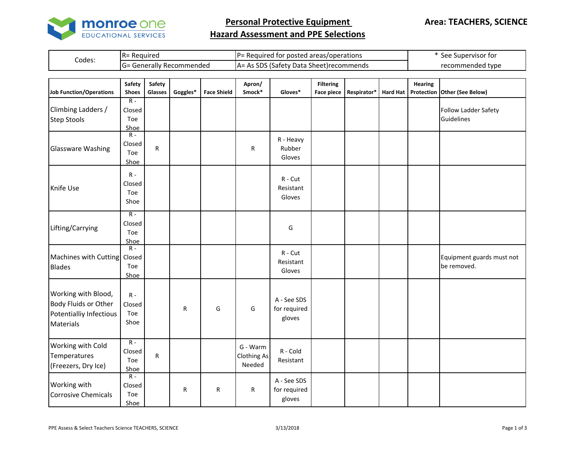

**Personal Protective Equipment** 

## **Hazard Assessment and PPE Selections**

| Codes: | IR=<br>- Requireo                   | l P=<br>posted areas/operations *<br>tor<br>Requirer  | . Supervisor for<br>see     |
|--------|-------------------------------------|-------------------------------------------------------|-----------------------------|
|        | ∽<br>: Generally Recommended<br>=טו | CDC<br>. Data i<br>Satet<br>. Sheet)recommends<br>IA= | $\sim$ 400 type<br>recommen |

| <b>Job Function/Operations</b>                                                      | Safety<br><b>Shoes</b>         | Safety<br>Glasses | Goggles* | <b>Face Shield</b> | Apron/<br>Smock*                         | Gloves*                               | <b>Filtering</b><br><b>Face piece</b> | Respirator* | <b>Hard Hat</b> | <b>Hearing</b> | Protection Other (See Below)             |
|-------------------------------------------------------------------------------------|--------------------------------|-------------------|----------|--------------------|------------------------------------------|---------------------------------------|---------------------------------------|-------------|-----------------|----------------|------------------------------------------|
| Climbing Ladders /<br><b>Step Stools</b>                                            | $R -$<br>Closed<br>Toe<br>Shoe |                   |          |                    |                                          |                                       |                                       |             |                 |                | Follow Ladder Safety<br>Guidelines       |
| <b>Glassware Washing</b>                                                            | $R -$<br>Closed<br>Toe<br>Shoe | $\mathsf R$       |          |                    | R                                        | R - Heavy<br>Rubber<br>Gloves         |                                       |             |                 |                |                                          |
| Knife Use                                                                           | $R -$<br>Closed<br>Toe<br>Shoe |                   |          |                    |                                          | $R$ - $Cut$<br>Resistant<br>Gloves    |                                       |             |                 |                |                                          |
| Lifting/Carrying                                                                    | $R -$<br>Closed<br>Toe<br>Shoe |                   |          |                    |                                          | G                                     |                                       |             |                 |                |                                          |
| Machines with Cutting Closed<br><b>Blades</b>                                       | $R -$<br>Toe<br>Shoe           |                   |          |                    |                                          | $R - Cut$<br>Resistant<br>Gloves      |                                       |             |                 |                | Equipment guards must not<br>be removed. |
| Working with Blood,<br>Body Fluids or Other<br>Potentialliy Infectious<br>Materials | $R -$<br>Closed<br>Toe<br>Shoe |                   | R        | G                  | G                                        | A - See SDS<br>for required<br>gloves |                                       |             |                 |                |                                          |
| Working with Cold<br>Temperatures<br>(Freezers, Dry Ice)                            | $R -$<br>Closed<br>Toe<br>Shoe | $\mathsf R$       |          |                    | G - Warm<br><b>Clothing As</b><br>Needed | R - Cold<br>Resistant                 |                                       |             |                 |                |                                          |
| Working with<br><b>Corrosive Chemicals</b>                                          | $R -$<br>Closed<br>Toe<br>Shoe |                   | R        | $\mathsf R$        | R                                        | A - See SDS<br>for required<br>gloves |                                       |             |                 |                |                                          |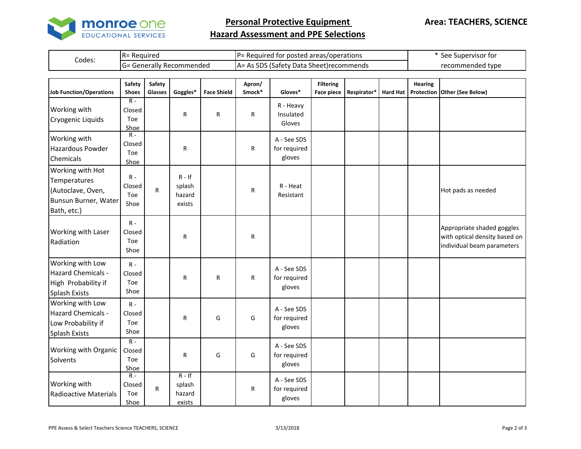

**Personal Protective Equipment** 

## **Hazard Assessment and PPE Selections**

| Codes: | : Reauired<br>$R =$   | ≔י<br>Required for posted areas/operations "                  | See Supervisor for |
|--------|-----------------------|---------------------------------------------------------------|--------------------|
|        | Generally Recommended | $\cdot$ SDS (Safety).<br>v Data Sheet)recommends<br>As<br>IA= | recommended type   |

| <b>Job Function/Operations</b>                                                               | Safety<br><b>Shoes</b>                  | Safety<br>Glasses | Goggles*                               | <b>Face Shield</b> | Apron/<br>Smock* | Gloves*                               | <b>Filtering</b><br><b>Face piece</b> | Respirator* | <b>Hard Hat</b> | <b>Hearing</b> | Protection Other (See Below)                                                              |
|----------------------------------------------------------------------------------------------|-----------------------------------------|-------------------|----------------------------------------|--------------------|------------------|---------------------------------------|---------------------------------------|-------------|-----------------|----------------|-------------------------------------------------------------------------------------------|
| Working with<br>Cryogenic Liquids                                                            | $R -$<br>Closed<br>Toe<br>Shoe          |                   | $\mathsf{R}$                           | $\mathsf{R}$       | R                | R - Heavy<br>Insulated<br>Gloves      |                                       |             |                 |                |                                                                                           |
| Working with<br>Hazardous Powder<br>Chemicals                                                | $R -$<br>Closed<br>Toe<br>Shoe          |                   | $\mathsf{R}$                           |                    | R                | A - See SDS<br>for required<br>gloves |                                       |             |                 |                |                                                                                           |
| Working with Hot<br>Temperatures<br>(Autoclave, Oven,<br>Bunsun Burner, Water<br>Bath, etc.) | $R -$<br>Closed<br>Toe<br>Shoe          | R                 | $R - If$<br>splash<br>hazard<br>exists |                    | R                | R - Heat<br>Resistant                 |                                       |             |                 |                | Hot pads as needed                                                                        |
| Working with Laser<br>Radiation                                                              | $R -$<br>Closed<br>Toe<br>Shoe          |                   | R                                      |                    | R                |                                       |                                       |             |                 |                | Appropriate shaded goggles<br>with optical density based on<br>individual beam parameters |
| Working with Low<br>Hazard Chemicals -<br>High Probability if<br>Splash Exists               | $R -$<br>Closed<br>Toe<br>Shoe          |                   | R                                      | R                  | R                | A - See SDS<br>for required<br>gloves |                                       |             |                 |                |                                                                                           |
| Working with Low<br>Hazard Chemicals -<br>Low Probability if<br>Splash Exists                | $R -$<br>Closed<br>Toe<br>Shoe          |                   | R                                      | G                  | G                | A - See SDS<br>for required<br>gloves |                                       |             |                 |                |                                                                                           |
| Working with Organic<br>Solvents                                                             | $R -$<br>Closed<br>Toe<br>Shoe          |                   | ${\sf R}$                              | G                  | G                | A - See SDS<br>for required<br>gloves |                                       |             |                 |                |                                                                                           |
| Working with<br>Radioactive Materials                                                        | $\overline{R}$<br>Closed<br>Toe<br>Shoe | R                 | $R - If$<br>splash<br>hazard<br>exists |                    | R                | A - See SDS<br>for required<br>gloves |                                       |             |                 |                |                                                                                           |